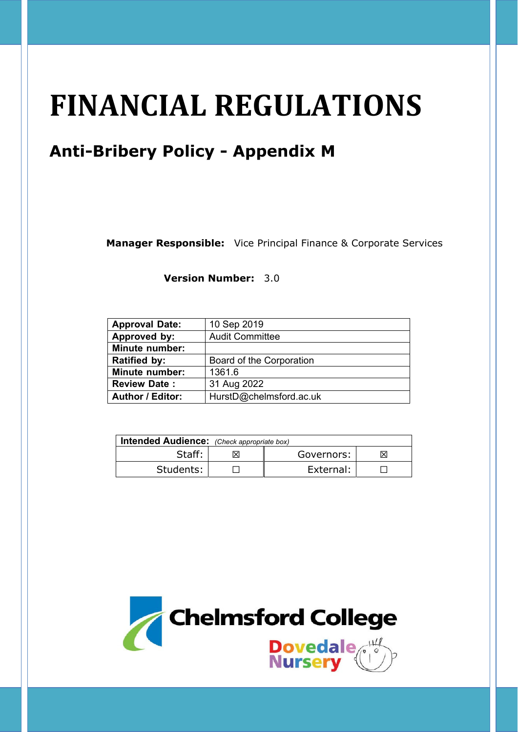# **FINANCIAL REGULATIONS**

# **Anti-Bribery Policy - Appendix M**

**Manager Responsible:** Vice Principal Finance & Corporate Services

**Version Number:** 3.0

| <b>Approval Date:</b>   | 10 Sep 2019              |
|-------------------------|--------------------------|
| Approved by:            | <b>Audit Committee</b>   |
| <b>Minute number:</b>   |                          |
| <b>Ratified by:</b>     | Board of the Corporation |
| <b>Minute number:</b>   | 1361.6                   |
| <b>Review Date:</b>     | 31 Aug 2022              |
| <b>Author / Editor:</b> | HurstD@chelmsford.ac.uk  |

| Intended Audience: (Check appropriate box) |  |            |    |  |
|--------------------------------------------|--|------------|----|--|
| Staff:                                     |  | Governors: | ΙX |  |
| Students:                                  |  | External:  |    |  |

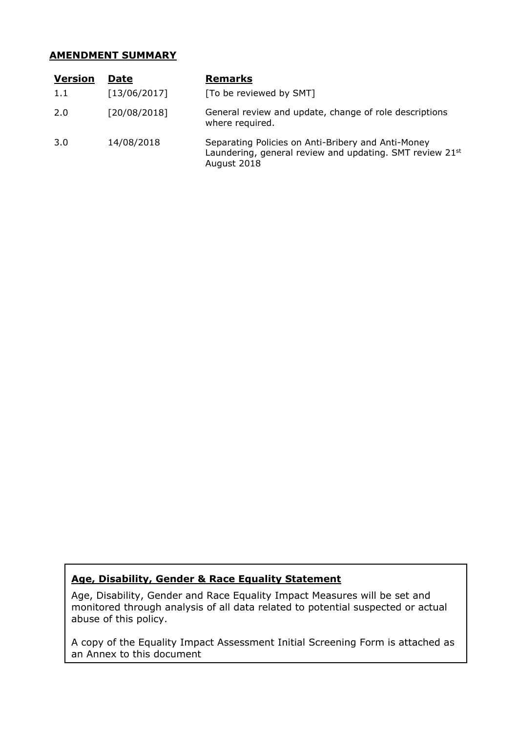#### **AMENDMENT SUMMARY**

| <b>Version</b> | <b>Date</b>  | <b>Remarks</b>                                                                                                                |
|----------------|--------------|-------------------------------------------------------------------------------------------------------------------------------|
| 1.1            | [13/06/2017] | [To be reviewed by SMT]                                                                                                       |
| 2.0            | [20/08/2018] | General review and update, change of role descriptions<br>where required.                                                     |
| 3.0            | 14/08/2018   | Separating Policies on Anti-Bribery and Anti-Money<br>Laundering, general review and updating. SMT review 21st<br>August 2018 |

# **Age, Disability, Gender & Race Equality Statement**

Age, Disability, Gender and Race Equality Impact Measures will be set and monitored through analysis of all data related to potential suspected or actual abuse of this policy.

A copy of the Equality Impact Assessment Initial Screening Form is attached as an Annex to this document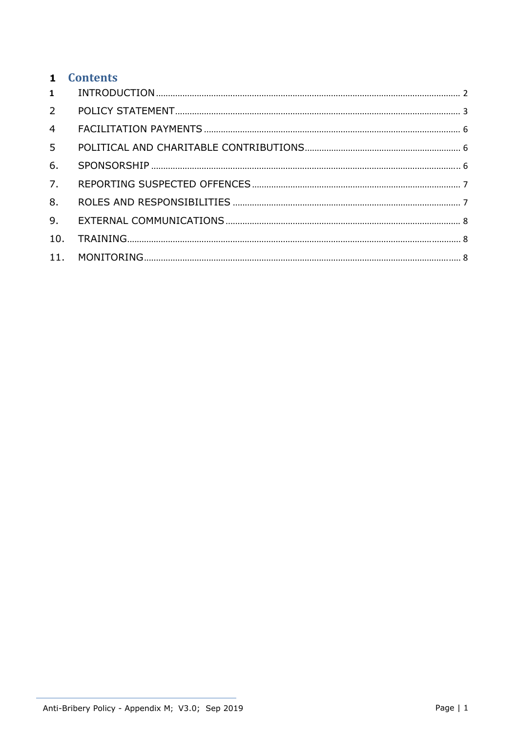|                | 1 Contents |  |
|----------------|------------|--|
| 1              |            |  |
|                |            |  |
| $\overline{4}$ |            |  |
| 5 <sup>7</sup> |            |  |
| 6.             |            |  |
| 7.             |            |  |
| 8.             |            |  |
| 9.             |            |  |
| 10.            |            |  |
|                |            |  |
|                |            |  |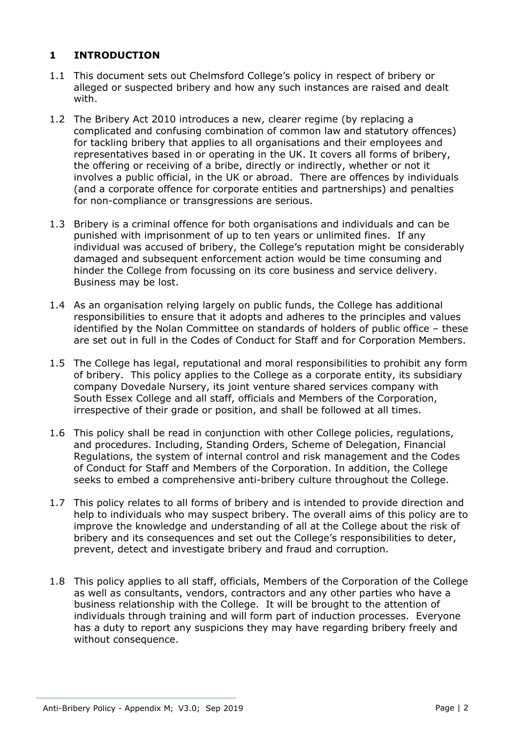# **1 INTRODUCTION**

- 1.1 This document sets out Chelmsford College's policy in respect of bribery or alleged or suspected bribery and how any such instances are raised and dealt with.
- 1.2 The Bribery Act 2010 introduces a new, clearer regime (by replacing a complicated and confusing combination of common law and statutory offences) for tackling bribery that applies to all organisations and their employees and representatives based in or operating in the UK. It covers all forms of bribery, the offering or receiving of a bribe, directly or indirectly, whether or not it involves a public official, in the UK or abroad. There are offences by individuals (and a corporate offence for corporate entities and partnerships) and penalties for non-compliance or transgressions are serious.
- 1.3 Bribery is a criminal offence for both organisations and individuals and can be punished with imprisonment of up to ten years or unlimited fines. If any individual was accused of bribery, the College's reputation might be considerably damaged and subsequent enforcement action would be time consuming and hinder the College from focussing on its core business and service delivery. Business may be lost.
- 1.4 As an organisation relying largely on public funds, the College has additional responsibilities to ensure that it adopts and adheres to the principles and values identified by the Nolan Committee on standards of holders of public office – these are set out in full in the Codes of Conduct for Staff and for Corporation Members.
- 1.5 The College has legal, reputational and moral responsibilities to prohibit any form of bribery. This policy applies to the College as a corporate entity, its subsidiary company Dovedale Nursery, its joint venture shared services company with South Essex College and all staff, officials and Members of the Corporation, irrespective of their grade or position, and shall be followed at all times.
- 1.6 This policy shall be read in conjunction with other College policies, regulations, and procedures. Including, Standing Orders, Scheme of Delegation, Financial Regulations, the system of internal control and risk management and the Codes of Conduct for Staff and Members of the Corporation. In addition, the College seeks to embed a comprehensive anti-bribery culture throughout the College.
- 1.7 This policy relates to all forms of bribery and is intended to provide direction and help to individuals who may suspect bribery. The overall aims of this policy are to improve the knowledge and understanding of all at the College about the risk of bribery and its consequences and set out the College's responsibilities to deter, prevent, detect and investigate bribery and fraud and corruption.
- 1.8 This policy applies to all staff, officials, Members of the Corporation of the College as well as consultants, vendors, contractors and any other parties who have a business relationship with the College. It will be brought to the attention of individuals through training and will form part of induction processes. Everyone has a duty to report any suspicions they may have regarding bribery freely and without consequence.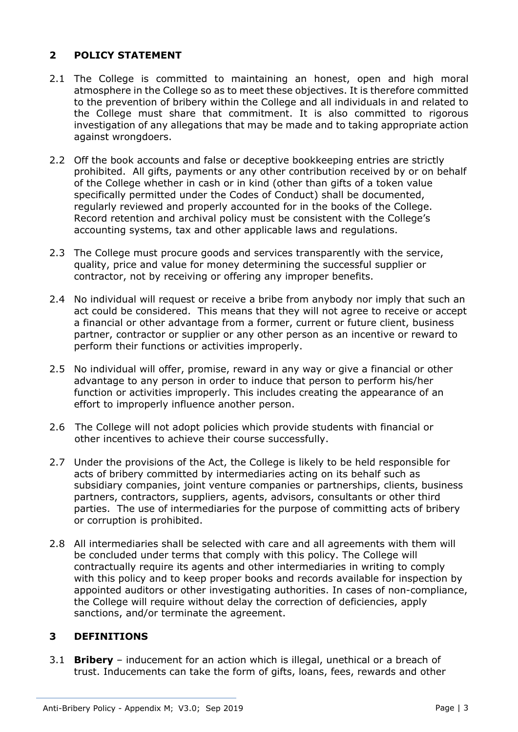# **2 POLICY STATEMENT**

- 2.1 The College is committed to maintaining an honest, open and high moral atmosphere in the College so as to meet these objectives. It is therefore committed to the prevention of bribery within the College and all individuals in and related to the College must share that commitment. It is also committed to rigorous investigation of any allegations that may be made and to taking appropriate action against wrongdoers.
- 2.2 Off the book accounts and false or deceptive bookkeeping entries are strictly prohibited. All gifts, payments or any other contribution received by or on behalf of the College whether in cash or in kind (other than gifts of a token value specifically permitted under the Codes of Conduct) shall be documented, regularly reviewed and properly accounted for in the books of the College. Record retention and archival policy must be consistent with the College's accounting systems, tax and other applicable laws and regulations.
- 2.3 The College must procure goods and services transparently with the service, quality, price and value for money determining the successful supplier or contractor, not by receiving or offering any improper benefits.
- 2.4 No individual will request or receive a bribe from anybody nor imply that such an act could be considered. This means that they will not agree to receive or accept a financial or other advantage from a former, current or future client, business partner, contractor or supplier or any other person as an incentive or reward to perform their functions or activities improperly.
- 2.5 No individual will offer, promise, reward in any way or give a financial or other advantage to any person in order to induce that person to perform his/her function or activities improperly. This includes creating the appearance of an effort to improperly influence another person.
- 2.6 The College will not adopt policies which provide students with financial or other incentives to achieve their course successfully.
- 2.7 Under the provisions of the Act, the College is likely to be held responsible for acts of bribery committed by intermediaries acting on its behalf such as subsidiary companies, joint venture companies or partnerships, clients, business partners, contractors, suppliers, agents, advisors, consultants or other third parties. The use of intermediaries for the purpose of committing acts of bribery or corruption is prohibited.
- 2.8 All intermediaries shall be selected with care and all agreements with them will be concluded under terms that comply with this policy. The College will contractually require its agents and other intermediaries in writing to comply with this policy and to keep proper books and records available for inspection by appointed auditors or other investigating authorities. In cases of non-compliance, the College will require without delay the correction of deficiencies, apply sanctions, and/or terminate the agreement.

# **3 DEFINITIONS**

3.1 **Bribery** – inducement for an action which is illegal, unethical or a breach of trust. Inducements can take the form of gifts, loans, fees, rewards and other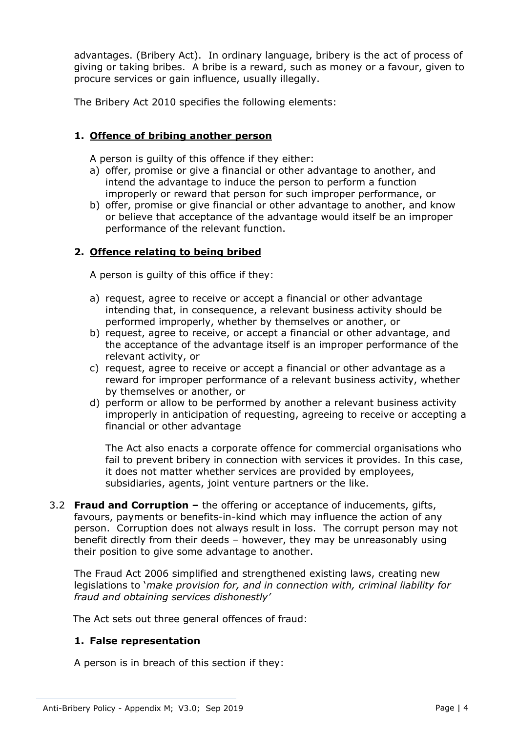advantages. (Bribery Act). In ordinary language, bribery is the act of process of giving or taking bribes. A bribe is a reward, such as money or a favour, given to procure services or gain influence, usually illegally.

The Bribery Act 2010 specifies the following elements:

# **1. Offence of bribing another person**

A person is guilty of this offence if they either:

- a) offer, promise or give a financial or other advantage to another, and intend the advantage to induce the person to perform a function improperly or reward that person for such improper performance, or
- b) offer, promise or give financial or other advantage to another, and know or believe that acceptance of the advantage would itself be an improper performance of the relevant function.

#### **2. Offence relating to being bribed**

A person is guilty of this office if they:

- a) request, agree to receive or accept a financial or other advantage intending that, in consequence, a relevant business activity should be performed improperly, whether by themselves or another, or
- b) request, agree to receive, or accept a financial or other advantage, and the acceptance of the advantage itself is an improper performance of the relevant activity, or
- c) request, agree to receive or accept a financial or other advantage as a reward for improper performance of a relevant business activity, whether by themselves or another, or
- d) perform or allow to be performed by another a relevant business activity improperly in anticipation of requesting, agreeing to receive or accepting a financial or other advantage

The Act also enacts a corporate offence for commercial organisations who fail to prevent bribery in connection with services it provides. In this case, it does not matter whether services are provided by employees, subsidiaries, agents, joint venture partners or the like.

3.2 **Fraud and Corruption –** the offering or acceptance of inducements, gifts, favours, payments or benefits-in-kind which may influence the action of any person. Corruption does not always result in loss. The corrupt person may not benefit directly from their deeds – however, they may be unreasonably using their position to give some advantage to another.

 The Fraud Act 2006 simplified and strengthened existing laws, creating new legislations to '*make provision for, and in connection with, criminal liability for fraud and obtaining services dishonestly'* 

The Act sets out three general offences of fraud:

#### **1. False representation**

A person is in breach of this section if they: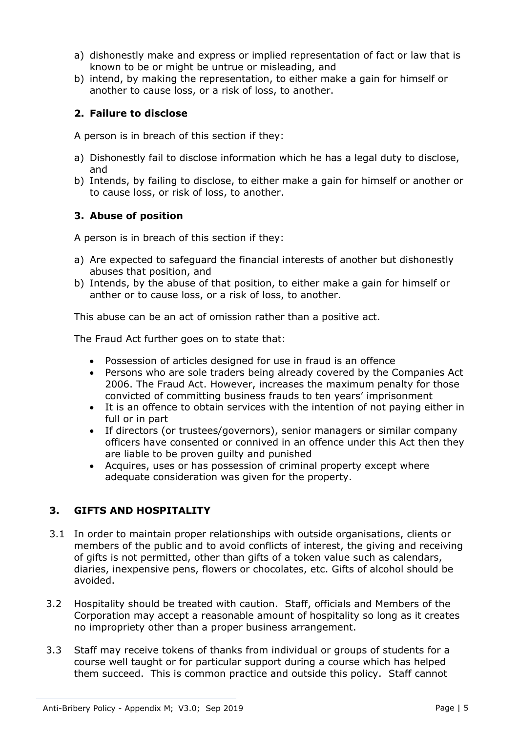- a) dishonestly make and express or implied representation of fact or law that is known to be or might be untrue or misleading, and
- b) intend, by making the representation, to either make a gain for himself or another to cause loss, or a risk of loss, to another.

# **2. Failure to disclose**

A person is in breach of this section if they:

- a) Dishonestly fail to disclose information which he has a legal duty to disclose, and
- b) Intends, by failing to disclose, to either make a gain for himself or another or to cause loss, or risk of loss, to another.

# **3. Abuse of position**

A person is in breach of this section if they:

- a) Are expected to safeguard the financial interests of another but dishonestly abuses that position, and
- b) Intends, by the abuse of that position, to either make a gain for himself or anther or to cause loss, or a risk of loss, to another.

This abuse can be an act of omission rather than a positive act.

The Fraud Act further goes on to state that:

- Possession of articles designed for use in fraud is an offence
- Persons who are sole traders being already covered by the Companies Act 2006. The Fraud Act. However, increases the maximum penalty for those convicted of committing business frauds to ten years' imprisonment
- It is an offence to obtain services with the intention of not paying either in full or in part
- If directors (or trustees/governors), senior managers or similar company officers have consented or connived in an offence under this Act then they are liable to be proven guilty and punished
- Acquires, uses or has possession of criminal property except where adequate consideration was given for the property.

# **3. GIFTS AND HOSPITALITY**

- 3.1 In order to maintain proper relationships with outside organisations, clients or members of the public and to avoid conflicts of interest, the giving and receiving of gifts is not permitted, other than gifts of a token value such as calendars, diaries, inexpensive pens, flowers or chocolates, etc. Gifts of alcohol should be avoided.
- 3.2 Hospitality should be treated with caution. Staff, officials and Members of the Corporation may accept a reasonable amount of hospitality so long as it creates no impropriety other than a proper business arrangement.
- 3.3 Staff may receive tokens of thanks from individual or groups of students for a course well taught or for particular support during a course which has helped them succeed. This is common practice and outside this policy. Staff cannot

Anti-Bribery Policy - Appendix M; V3.0; Sep 2019 Page 1 9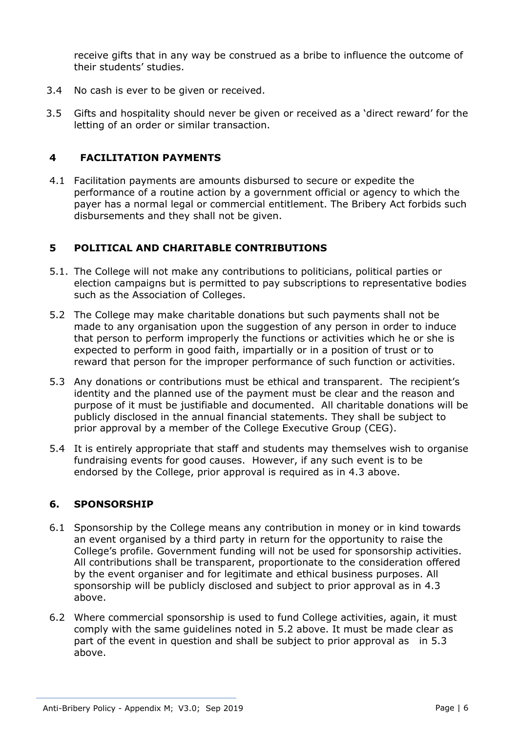receive gifts that in any way be construed as a bribe to influence the outcome of their students' studies.

- 3.4 No cash is ever to be given or received.
- 3.5 Gifts and hospitality should never be given or received as a 'direct reward' for the letting of an order or similar transaction.

#### **4 FACILITATION PAYMENTS**

4.1 Facilitation payments are amounts disbursed to secure or expedite the performance of a routine action by a government official or agency to which the payer has a normal legal or commercial entitlement. The Bribery Act forbids such disbursements and they shall not be given.

#### **5 POLITICAL AND CHARITABLE CONTRIBUTIONS**

- 5.1. The College will not make any contributions to politicians, political parties or election campaigns but is permitted to pay subscriptions to representative bodies such as the Association of Colleges.
- 5.2 The College may make charitable donations but such payments shall not be made to any organisation upon the suggestion of any person in order to induce that person to perform improperly the functions or activities which he or she is expected to perform in good faith, impartially or in a position of trust or to reward that person for the improper performance of such function or activities.
- 5.3 Any donations or contributions must be ethical and transparent. The recipient's identity and the planned use of the payment must be clear and the reason and purpose of it must be justifiable and documented. All charitable donations will be publicly disclosed in the annual financial statements. They shall be subject to prior approval by a member of the College Executive Group (CEG).
- 5.4 It is entirely appropriate that staff and students may themselves wish to organise fundraising events for good causes. However, if any such event is to be endorsed by the College, prior approval is required as in 4.3 above.

#### **6. SPONSORSHIP**

- 6.1 Sponsorship by the College means any contribution in money or in kind towards an event organised by a third party in return for the opportunity to raise the College's profile. Government funding will not be used for sponsorship activities. All contributions shall be transparent, proportionate to the consideration offered by the event organiser and for legitimate and ethical business purposes. All sponsorship will be publicly disclosed and subject to prior approval as in 4.3 above.
- 6.2 Where commercial sponsorship is used to fund College activities, again, it must comply with the same guidelines noted in 5.2 above. It must be made clear as part of the event in question and shall be subject to prior approval as in 5.3 above.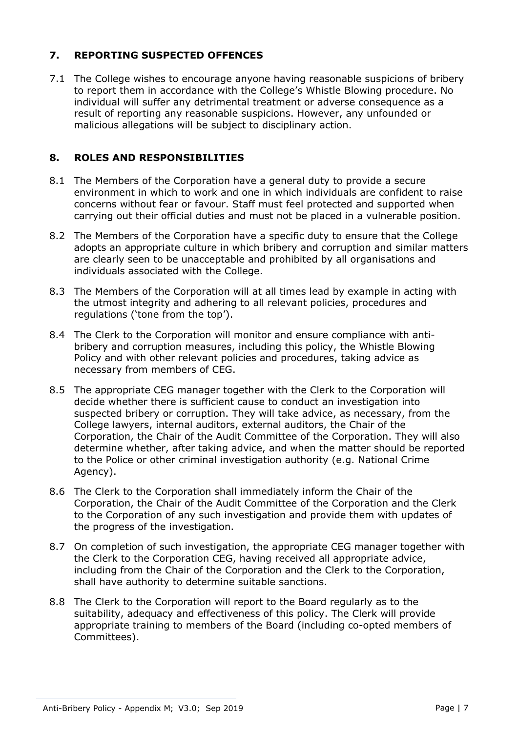# **7. REPORTING SUSPECTED OFFENCES**

7.1 The College wishes to encourage anyone having reasonable suspicions of bribery to report them in accordance with the College's Whistle Blowing procedure. No individual will suffer any detrimental treatment or adverse consequence as a result of reporting any reasonable suspicions. However, any unfounded or malicious allegations will be subject to disciplinary action.

## **8. ROLES AND RESPONSIBILITIES**

- 8.1 The Members of the Corporation have a general duty to provide a secure environment in which to work and one in which individuals are confident to raise concerns without fear or favour. Staff must feel protected and supported when carrying out their official duties and must not be placed in a vulnerable position.
- 8.2 The Members of the Corporation have a specific duty to ensure that the College adopts an appropriate culture in which bribery and corruption and similar matters are clearly seen to be unacceptable and prohibited by all organisations and individuals associated with the College.
- 8.3 The Members of the Corporation will at all times lead by example in acting with the utmost integrity and adhering to all relevant policies, procedures and regulations ('tone from the top').
- 8.4 The Clerk to the Corporation will monitor and ensure compliance with antibribery and corruption measures, including this policy, the Whistle Blowing Policy and with other relevant policies and procedures, taking advice as necessary from members of CEG.
- 8.5 The appropriate CEG manager together with the Clerk to the Corporation will decide whether there is sufficient cause to conduct an investigation into suspected bribery or corruption. They will take advice, as necessary, from the College lawyers, internal auditors, external auditors, the Chair of the Corporation, the Chair of the Audit Committee of the Corporation. They will also determine whether, after taking advice, and when the matter should be reported to the Police or other criminal investigation authority (e.g. National Crime Agency).
- 8.6 The Clerk to the Corporation shall immediately inform the Chair of the Corporation, the Chair of the Audit Committee of the Corporation and the Clerk to the Corporation of any such investigation and provide them with updates of the progress of the investigation.
- 8.7 On completion of such investigation, the appropriate CEG manager together with the Clerk to the Corporation CEG, having received all appropriate advice, including from the Chair of the Corporation and the Clerk to the Corporation, shall have authority to determine suitable sanctions.
- 8.8 The Clerk to the Corporation will report to the Board regularly as to the suitability, adequacy and effectiveness of this policy. The Clerk will provide appropriate training to members of the Board (including co-opted members of Committees).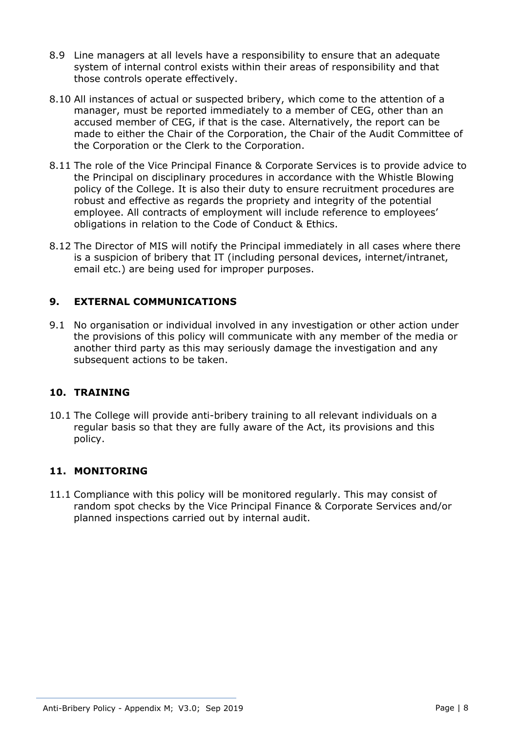- 8.9 Line managers at all levels have a responsibility to ensure that an adequate system of internal control exists within their areas of responsibility and that those controls operate effectively.
- 8.10 All instances of actual or suspected bribery, which come to the attention of a manager, must be reported immediately to a member of CEG, other than an accused member of CEG, if that is the case. Alternatively, the report can be made to either the Chair of the Corporation, the Chair of the Audit Committee of the Corporation or the Clerk to the Corporation.
- 8.11 The role of the Vice Principal Finance & Corporate Services is to provide advice to the Principal on disciplinary procedures in accordance with the Whistle Blowing policy of the College. It is also their duty to ensure recruitment procedures are robust and effective as regards the propriety and integrity of the potential employee. All contracts of employment will include reference to employees' obligations in relation to the Code of Conduct & Ethics.
- 8.12 The Director of MIS will notify the Principal immediately in all cases where there is a suspicion of bribery that IT (including personal devices, internet/intranet, email etc.) are being used for improper purposes.

# **9. EXTERNAL COMMUNICATIONS**

9.1 No organisation or individual involved in any investigation or other action under the provisions of this policy will communicate with any member of the media or another third party as this may seriously damage the investigation and any subsequent actions to be taken.

#### **10. TRAINING**

10.1 The College will provide anti-bribery training to all relevant individuals on a regular basis so that they are fully aware of the Act, its provisions and this policy.

# **11. MONITORING**

11.1 Compliance with this policy will be monitored regularly. This may consist of random spot checks by the Vice Principal Finance & Corporate Services and/or planned inspections carried out by internal audit.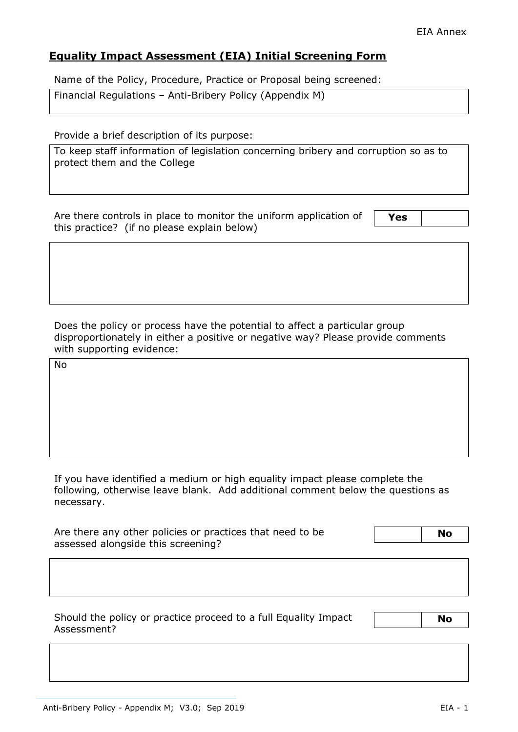# **Equality Impact Assessment (EIA) Initial Screening Form**

Name of the Policy, Procedure, Practice or Proposal being screened:

| Financial Regulations - Anti-Bribery Policy (Appendix M) |  |  |
|----------------------------------------------------------|--|--|
|                                                          |  |  |

Provide a brief description of its purpose:

To keep staff information of legislation concerning bribery and corruption so as to protect them and the College

Are there controls in place to monitor the uniform application of this practice? (if no please explain below)

**Yes** 

Does the policy or process have the potential to affect a particular group disproportionately in either a positive or negative way? Please provide comments with supporting evidence:

No

If you have identified a medium or high equality impact please complete the following, otherwise leave blank. Add additional comment below the questions as necessary.

| Are there any other policies or practices that need to be | <b>No</b> |
|-----------------------------------------------------------|-----------|
| assessed alongside this screening?                        |           |

Should the policy or practice proceed to a full Equality Impact Assessment?

 **No**